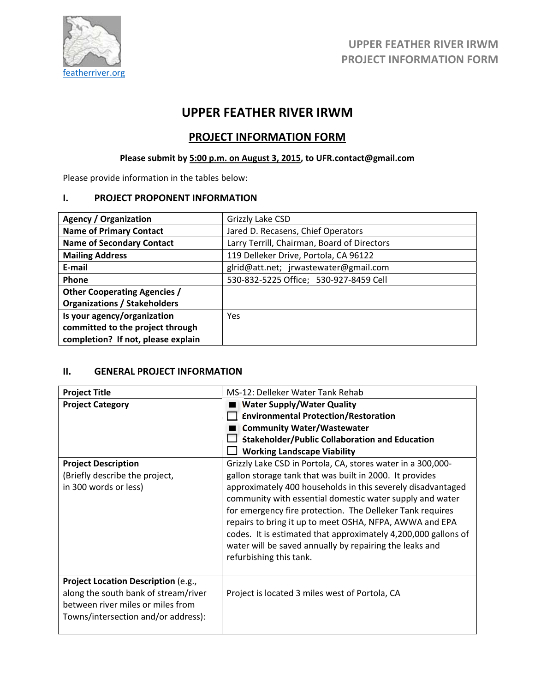

# **UPPER FEATHER RIVER IRWM**

# **PROJECT INFORMATION FORM**

# **Please submit by 5:00 p.m. on August 3, 2015, to UFR.contact@gmail.com**

Please provide information in the tables below:

## **I. PROJECT PROPONENT INFORMATION**

| <b>Agency / Organization</b>        | Grizzly Lake CSD                            |  |
|-------------------------------------|---------------------------------------------|--|
| <b>Name of Primary Contact</b>      | Jared D. Recasens, Chief Operators          |  |
| <b>Name of Secondary Contact</b>    | Larry Terrill, Chairman, Board of Directors |  |
| <b>Mailing Address</b>              | 119 Delleker Drive, Portola, CA 96122       |  |
| E-mail                              | glrid@att.net; jrwastewater@gmail.com       |  |
| <b>Phone</b>                        | 530-832-5225 Office; 530-927-8459 Cell      |  |
| <b>Other Cooperating Agencies /</b> |                                             |  |
| <b>Organizations / Stakeholders</b> |                                             |  |
| Is your agency/organization         | <b>Yes</b>                                  |  |
| committed to the project through    |                                             |  |
| completion? If not, please explain  |                                             |  |

# **II. GENERAL PROJECT INFORMATION**

| <b>Project Title</b>                                                                                                                                    | MS-12: Delleker Water Tank Rehab                                                                                                                                                                                                                                                                                                                                                                                                                                                                                                  |  |  |
|---------------------------------------------------------------------------------------------------------------------------------------------------------|-----------------------------------------------------------------------------------------------------------------------------------------------------------------------------------------------------------------------------------------------------------------------------------------------------------------------------------------------------------------------------------------------------------------------------------------------------------------------------------------------------------------------------------|--|--|
| <b>Project Category</b>                                                                                                                                 | <b>Water Supply/Water Quality</b><br><b>Environmental Protection/Restoration</b><br><b>Community Water/Wastewater</b><br><b>Stakeholder/Public Collaboration and Education</b><br><b>Working Landscape Viability</b>                                                                                                                                                                                                                                                                                                              |  |  |
| <b>Project Description</b><br>(Briefly describe the project,<br>in 300 words or less)                                                                   | Grizzly Lake CSD in Portola, CA, stores water in a 300,000-<br>gallon storage tank that was built in 2000. It provides<br>approximately 400 households in this severely disadvantaged<br>community with essential domestic water supply and water<br>for emergency fire protection. The Delleker Tank requires<br>repairs to bring it up to meet OSHA, NFPA, AWWA and EPA<br>codes. It is estimated that approximately 4,200,000 gallons of<br>water will be saved annually by repairing the leaks and<br>refurbishing this tank. |  |  |
| Project Location Description (e.g.,<br>along the south bank of stream/river<br>between river miles or miles from<br>Towns/intersection and/or address): | Project is located 3 miles west of Portola, CA                                                                                                                                                                                                                                                                                                                                                                                                                                                                                    |  |  |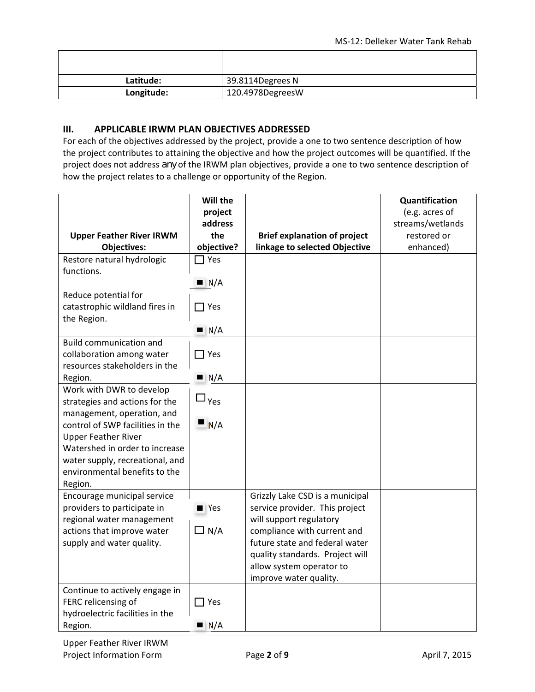| Latitude:  | 39.8114Degrees N |
|------------|------------------|
| Longitude: | 120.4978DegreesW |

### **III. APPLICABLE IRWM PLAN OBJECTIVES ADDRESSED**

For each of the objectives addressed by the project, provide a one to two sentence description of how the project contributes to attaining the objective and how the project outcomes will be quantified. If the project does not address *any* of the IRWM plan objectives, provide a one to two sentence description of how the project relates to a challenge or opportunity of the Region.

|                                                                | Will the               |                                     | Quantification   |
|----------------------------------------------------------------|------------------------|-------------------------------------|------------------|
|                                                                | project                |                                     | (e.g. acres of   |
|                                                                | address                |                                     | streams/wetlands |
| <b>Upper Feather River IRWM</b>                                | the                    | <b>Brief explanation of project</b> | restored or      |
| <b>Objectives:</b>                                             | objective?             | linkage to selected Objective       | enhanced)        |
| Restore natural hydrologic                                     | $\sqsupset$ Yes        |                                     |                  |
| functions.                                                     |                        |                                     |                  |
|                                                                | $\blacksquare$ N/A     |                                     |                  |
| Reduce potential for                                           |                        |                                     |                  |
| catastrophic wildland fires in                                 | $\Box$ Yes             |                                     |                  |
| the Region.                                                    |                        |                                     |                  |
|                                                                | $\blacksquare$ N/A     |                                     |                  |
| <b>Build communication and</b>                                 |                        |                                     |                  |
| collaboration among water                                      | $\Box$ Yes             |                                     |                  |
| resources stakeholders in the                                  |                        |                                     |                  |
| Region.                                                        | $\blacksquare$ N/A     |                                     |                  |
| Work with DWR to develop                                       | $\square_{\text{Yes}}$ |                                     |                  |
| strategies and actions for the                                 |                        |                                     |                  |
| management, operation, and<br>control of SWP facilities in the | N/A                    |                                     |                  |
|                                                                |                        |                                     |                  |
| <b>Upper Feather River</b><br>Watershed in order to increase   |                        |                                     |                  |
| water supply, recreational, and                                |                        |                                     |                  |
| environmental benefits to the                                  |                        |                                     |                  |
| Region.                                                        |                        |                                     |                  |
| Encourage municipal service                                    |                        | Grizzly Lake CSD is a municipal     |                  |
| providers to participate in                                    | $\blacksquare$ Yes     | service provider. This project      |                  |
| regional water management                                      |                        | will support regulatory             |                  |
| actions that improve water                                     | $\Box N/A$             | compliance with current and         |                  |
| supply and water quality.                                      |                        | future state and federal water      |                  |
|                                                                |                        | quality standards. Project will     |                  |
|                                                                |                        | allow system operator to            |                  |
|                                                                |                        | improve water quality.              |                  |
| Continue to actively engage in                                 |                        |                                     |                  |
| FERC relicensing of                                            | $\Box$ Yes             |                                     |                  |
| hydroelectric facilities in the                                |                        |                                     |                  |
| Region.                                                        | $\blacksquare$ N/A     |                                     |                  |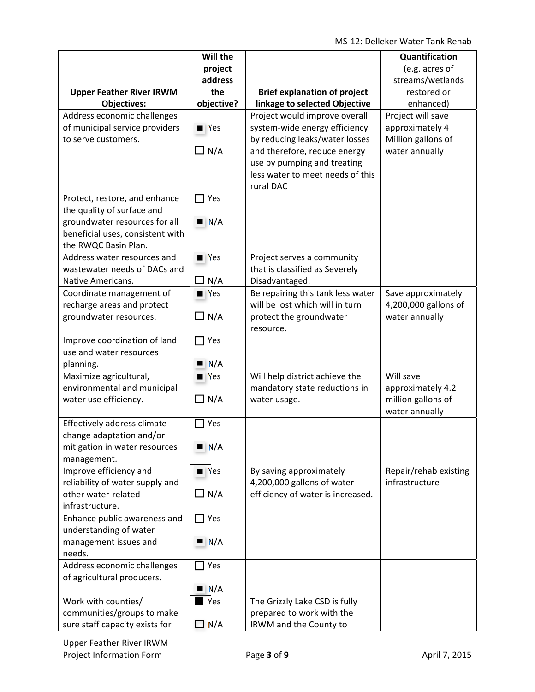MS‐12: Delleker Water Tank Rehab

|                                  | Will the           |                                     | Quantification        |
|----------------------------------|--------------------|-------------------------------------|-----------------------|
|                                  | project            |                                     | (e.g. acres of        |
|                                  | address            |                                     | streams/wetlands      |
| <b>Upper Feather River IRWM</b>  | the                | <b>Brief explanation of project</b> | restored or           |
| <b>Objectives:</b>               | objective?         | linkage to selected Objective       | enhanced)             |
| Address economic challenges      |                    | Project would improve overall       | Project will save     |
| of municipal service providers   | $\blacksquare$ Yes | system-wide energy efficiency       | approximately 4       |
| to serve customers.              |                    | by reducing leaks/water losses      | Million gallons of    |
|                                  | $\Box N/A$         | and therefore, reduce energy        | water annually        |
|                                  |                    | use by pumping and treating         |                       |
|                                  |                    | less water to meet needs of this    |                       |
|                                  |                    | rural DAC                           |                       |
| Protect, restore, and enhance    | Yes                |                                     |                       |
| the quality of surface and       |                    |                                     |                       |
| groundwater resources for all    | N/A                |                                     |                       |
| beneficial uses, consistent with |                    |                                     |                       |
| the RWQC Basin Plan.             |                    |                                     |                       |
| Address water resources and      | $\blacksquare$ Yes | Project serves a community          |                       |
| wastewater needs of DACs and     |                    | that is classified as Severely      |                       |
| Native Americans.                | $\Box$ N/A         | Disadvantaged.                      |                       |
| Coordinate management of         | $\blacksquare$ Yes | Be repairing this tank less water   | Save approximately    |
| recharge areas and protect       |                    | will be lost which will in turn     | 4,200,000 gallons of  |
| groundwater resources.           | $\Box$ N/A         | protect the groundwater             | water annually        |
|                                  |                    | resource.                           |                       |
| Improve coordination of land     | $\Box$ Yes         |                                     |                       |
| use and water resources          |                    |                                     |                       |
| planning.                        | $\blacksquare$ N/A |                                     |                       |
| Maximize agricultural,           | $\blacksquare$ Yes | Will help district achieve the      | Will save             |
| environmental and municipal      |                    | mandatory state reductions in       | approximately 4.2     |
| water use efficiency.            | $\Box$ N/A         | water usage.                        | million gallons of    |
| Effectively address climate      | Yes                |                                     | water annually        |
| change adaptation and/or         |                    |                                     |                       |
| mitigation in water resources    | N/A                |                                     |                       |
| management.                      |                    |                                     |                       |
| Improve efficiency and           | $\blacksquare$ Yes | By saving approximately             | Repair/rehab existing |
| reliability of water supply and  |                    | 4,200,000 gallons of water          | infrastructure        |
| other water-related              | $\Box$ N/A         | efficiency of water is increased.   |                       |
| infrastructure.                  |                    |                                     |                       |
| Enhance public awareness and     | $\Box$ Yes         |                                     |                       |
| understanding of water           |                    |                                     |                       |
| management issues and            | $\blacksquare$ N/A |                                     |                       |
| needs.                           |                    |                                     |                       |
| Address economic challenges      | $\Box$ Yes         |                                     |                       |
| of agricultural producers.       |                    |                                     |                       |
|                                  | $\blacksquare$ N/A |                                     |                       |
| Work with counties/              | Yes                | The Grizzly Lake CSD is fully       |                       |
| communities/groups to make       |                    | prepared to work with the           |                       |
| sure staff capacity exists for   | $\Box$ N/A         | IRWM and the County to              |                       |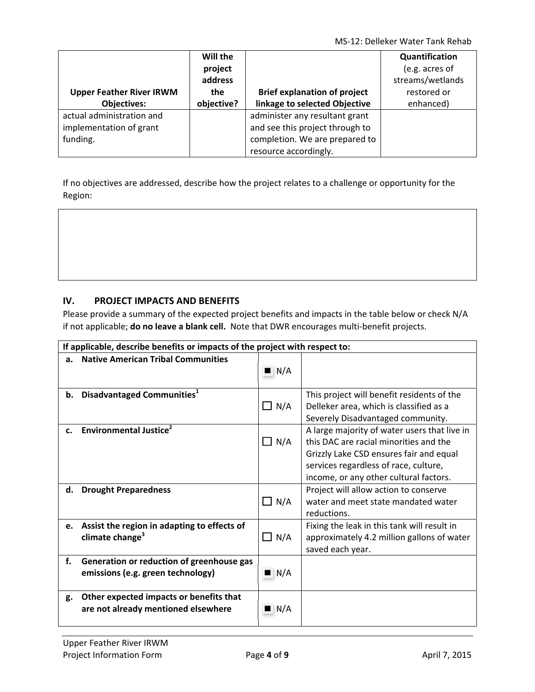MS‐12: Delleker Water Tank Rehab

|                                 | Will the<br>project<br>address |                                     | Quantification<br>(e.g. acres of<br>streams/wetlands |
|---------------------------------|--------------------------------|-------------------------------------|------------------------------------------------------|
| <b>Upper Feather River IRWM</b> | the                            | <b>Brief explanation of project</b> | restored or                                          |
| <b>Objectives:</b>              | objective?                     | linkage to selected Objective       | enhanced)                                            |
| actual administration and       |                                | administer any resultant grant      |                                                      |
| implementation of grant         |                                | and see this project through to     |                                                      |
| funding.                        |                                | completion. We are prepared to      |                                                      |
|                                 |                                | resource accordingly.               |                                                      |

If no objectives are addressed, describe how the project relates to a challenge or opportunity for the Region:

## **IV. PROJECT IMPACTS AND BENEFITS**

Please provide a summary of the expected project benefits and impacts in the table below or check N/A if not applicable; **do no leave a blank cell.** Note that DWR encourages multi‐benefit projects.

|    | If applicable, describe benefits or impacts of the project with respect to:    |                    |                                                                                                                                                                                                                      |  |
|----|--------------------------------------------------------------------------------|--------------------|----------------------------------------------------------------------------------------------------------------------------------------------------------------------------------------------------------------------|--|
| a. | <b>Native American Tribal Communities</b>                                      | $\blacksquare$ N/A |                                                                                                                                                                                                                      |  |
| b. | Disadvantaged Communities <sup>1</sup>                                         | $\Box$ N/A         | This project will benefit residents of the<br>Delleker area, which is classified as a<br>Severely Disadvantaged community.                                                                                           |  |
| c. | Environmental Justice <sup>2</sup>                                             | $\Box$ N/A         | A large majority of water users that live in<br>this DAC are racial minorities and the<br>Grizzly Lake CSD ensures fair and equal<br>services regardless of race, culture,<br>income, or any other cultural factors. |  |
| d. | <b>Drought Preparedness</b>                                                    | $\Box$ N/A         | Project will allow action to conserve<br>water and meet state mandated water<br>reductions.                                                                                                                          |  |
| e. | Assist the region in adapting to effects of<br>climate change <sup>3</sup>     | $\Box$ N/A         | Fixing the leak in this tank will result in<br>approximately 4.2 million gallons of water<br>saved each year.                                                                                                        |  |
| f. | Generation or reduction of greenhouse gas<br>emissions (e.g. green technology) | $\blacksquare$ N/A |                                                                                                                                                                                                                      |  |
| g. | Other expected impacts or benefits that<br>are not already mentioned elsewhere | $\blacksquare$ N/A |                                                                                                                                                                                                                      |  |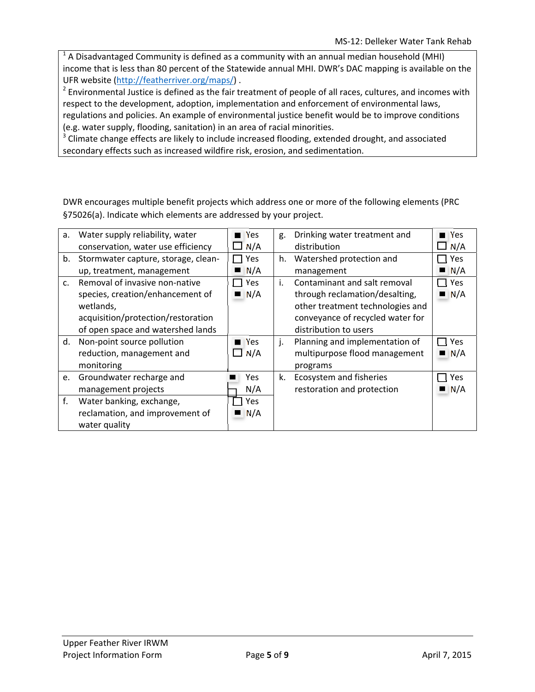$<sup>1</sup>$  A Disadvantaged Community is defined as a community with an annual median household (MHI)</sup> income that is less than 80 percent of the Statewide annual MHI. DWR's DAC mapping is available on the UFR website (http://featherriver.org/maps/) .

 $2$  Environmental Justice is defined as the fair treatment of people of all races, cultures, and incomes with respect to the development, adoption, implementation and enforcement of environmental laws, regulations and policies. An example of environmental justice benefit would be to improve conditions (e.g. water supply, flooding, sanitation) in an area of racial minorities.

<sup>3</sup> Climate change effects are likely to include increased flooding, extended drought, and associated secondary effects such as increased wildfire risk, erosion, and sedimentation.

DWR encourages multiple benefit projects which address one or more of the following elements (PRC §75026(a). Indicate which elements are addressed by your project.

| a. | Water supply reliability, water     | Yes         | g. | Drinking water treatment and     | <b>■ Yes</b>       |
|----|-------------------------------------|-------------|----|----------------------------------|--------------------|
|    | conservation, water use efficiency  | N/A         |    | distribution                     | N/A                |
| b. | Stormwater capture, storage, clean- | Yes         | h. | Watershed protection and         | Yes                |
|    | up, treatment, management           | N/A         |    | management                       | N/A                |
| C. | Removal of invasive non-native      | Yes         | i. | Contaminant and salt removal     | <b>Yes</b>         |
|    | species, creation/enhancement of    | N/A         |    | through reclamation/desalting,   | $\blacksquare$ N/A |
|    | wetlands,                           |             |    | other treatment technologies and |                    |
|    | acquisition/protection/restoration  |             |    | conveyance of recycled water for |                    |
|    | of open space and watershed lands   |             |    | distribution to users            |                    |
| d. | Non-point source pollution          | <b>TYes</b> | j. | Planning and implementation of   | Yes                |
|    | reduction, management and           | $\Box$ N/A  |    | multipurpose flood management    | N/A                |
|    | monitoring                          |             |    | programs                         |                    |
| e. | Groundwater recharge and            | Yes         | k. | Ecosystem and fisheries          | Yes                |
|    | management projects                 | N/A         |    | restoration and protection       | N/A<br>ш           |
| f. | Water banking, exchange,            | Yes         |    |                                  |                    |
|    | reclamation, and improvement of     | N/A         |    |                                  |                    |
|    | water quality                       |             |    |                                  |                    |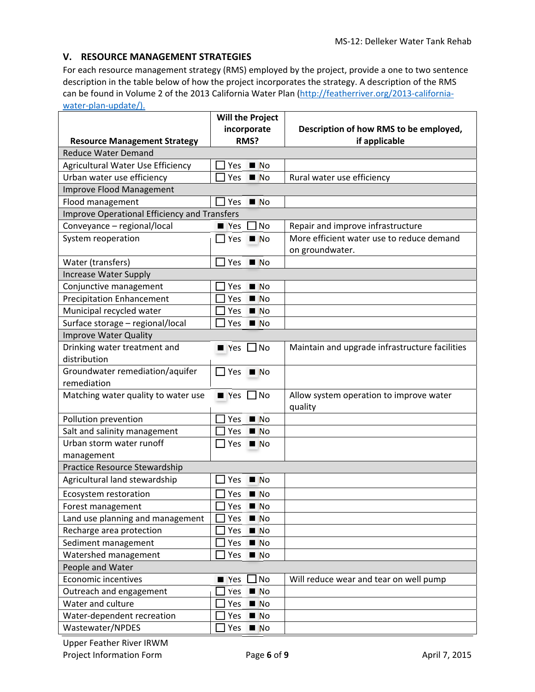### **V. RESOURCE MANAGEMENT STRATEGIES**

For each resource management strategy (RMS) employed by the project, provide a one to two sentence description in the table below of how the project incorporates the strategy. A description of the RMS can be found in Volume 2 of the 2013 California Water Plan (http://featherriver.org/2013-californiawater-plan-update/).

|                                                     | <b>Will the Project</b>              |                                                |  |  |  |
|-----------------------------------------------------|--------------------------------------|------------------------------------------------|--|--|--|
|                                                     | incorporate                          | Description of how RMS to be employed,         |  |  |  |
| <b>Resource Management Strategy</b>                 | RMS?                                 | if applicable                                  |  |  |  |
| <b>Reduce Water Demand</b>                          |                                      |                                                |  |  |  |
| Agricultural Water Use Efficiency                   | N <sub>O</sub><br>Yes                |                                                |  |  |  |
| Urban water use efficiency                          | Yes<br>N <sub>O</sub>                | Rural water use efficiency                     |  |  |  |
| Improve Flood Management                            |                                      |                                                |  |  |  |
| Flood management                                    | Yes $N$                              |                                                |  |  |  |
| <b>Improve Operational Efficiency and Transfers</b> |                                      |                                                |  |  |  |
| Conveyance - regional/local                         | ] No<br>$\blacksquare$ Yes           | Repair and improve infrastructure              |  |  |  |
| System reoperation                                  | $\blacksquare$ Yes $\blacksquare$ No | More efficient water use to reduce demand      |  |  |  |
|                                                     |                                      | on groundwater.                                |  |  |  |
| Water (transfers)                                   | Yes $M \circ N$                      |                                                |  |  |  |
| <b>Increase Water Supply</b>                        |                                      |                                                |  |  |  |
| Conjunctive management                              | N <sub>O</sub><br>Yes                |                                                |  |  |  |
| <b>Precipitation Enhancement</b>                    | Yes<br>N <sub>O</sub>                |                                                |  |  |  |
| Municipal recycled water                            | N <sub>O</sub><br><b>Yes</b>         |                                                |  |  |  |
| Surface storage - regional/local                    | Yes<br>N <sub>0</sub>                |                                                |  |  |  |
| <b>Improve Water Quality</b>                        |                                      |                                                |  |  |  |
| Drinking water treatment and                        | $\blacksquare$ Yes $\Box$ No         | Maintain and upgrade infrastructure facilities |  |  |  |
| distribution                                        |                                      |                                                |  |  |  |
| Groundwater remediation/aquifer                     | Yes $N$                              |                                                |  |  |  |
| remediation                                         |                                      |                                                |  |  |  |
| Matching water quality to water use                 | $\Box$ No<br>$\blacksquare$ Yes      | Allow system operation to improve water        |  |  |  |
|                                                     |                                      | quality                                        |  |  |  |
| Pollution prevention                                | N <sub>O</sub><br>Yes                |                                                |  |  |  |
| Salt and salinity management                        | N <sub>O</sub><br>Yes                |                                                |  |  |  |
| Urban storm water runoff                            | N<br>$\sqcup$ Yes                    |                                                |  |  |  |
| management                                          |                                      |                                                |  |  |  |
| Practice Resource Stewardship                       |                                      |                                                |  |  |  |
| Agricultural land stewardship                       | Yes<br>$\blacksquare$ No             |                                                |  |  |  |
| Ecosystem restoration                               | Yes<br>N <sub>O</sub>                |                                                |  |  |  |
| Forest management                                   | $Yes \blacksquare No$                |                                                |  |  |  |
| Land use planning and management                    | Yes<br>N <sub>O</sub>                |                                                |  |  |  |
| Recharge area protection                            | Yes<br>N <sub>O</sub>                |                                                |  |  |  |
| Sediment management                                 | Yes<br>N <sub>O</sub>                |                                                |  |  |  |
| Watershed management                                | Yes<br>N <sub>O</sub>                |                                                |  |  |  |
| People and Water                                    |                                      |                                                |  |  |  |
| <b>Economic incentives</b>                          | ] No<br>$\blacksquare$ Yes           | Will reduce wear and tear on well pump         |  |  |  |
| Outreach and engagement                             | Yes<br>N <sub>O</sub>                |                                                |  |  |  |
| Water and culture                                   | N <sub>O</sub><br>Yes                |                                                |  |  |  |
| Water-dependent recreation                          | Yes<br>N <sub>O</sub>                |                                                |  |  |  |
| Wastewater/NPDES                                    | Yes<br>N <sub>O</sub>                |                                                |  |  |  |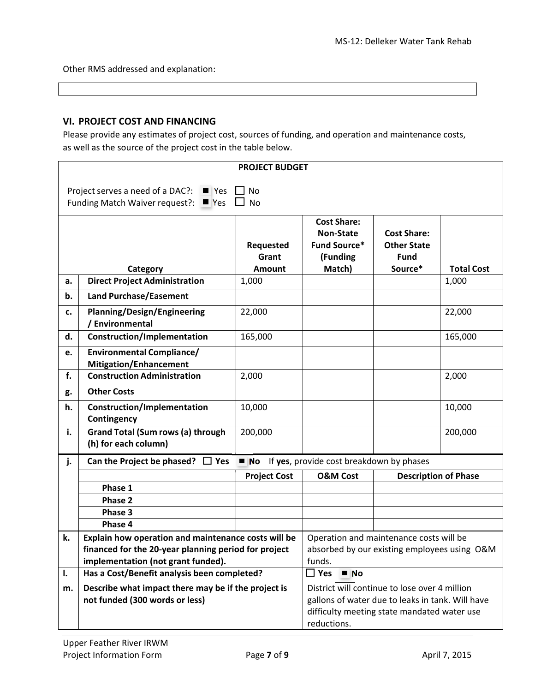Other RMS addressed and explanation:

## **VI. PROJECT COST AND FINANCING**

Please provide any estimates of project cost, sources of funding, and operation and maintenance costs, as well as the source of the project cost in the table below.

|                                                                                                             | <b>PROJECT BUDGET</b>                                                                                       |                     |                                                                                         |                                   |                   |
|-------------------------------------------------------------------------------------------------------------|-------------------------------------------------------------------------------------------------------------|---------------------|-----------------------------------------------------------------------------------------|-----------------------------------|-------------------|
|                                                                                                             |                                                                                                             |                     |                                                                                         |                                   |                   |
|                                                                                                             | Project serves a need of a DAC?:<br>$\blacksquare$ Yes<br>Funding Match Waiver request?: $\blacksquare$ Yes | No<br><b>No</b>     |                                                                                         |                                   |                   |
|                                                                                                             |                                                                                                             |                     |                                                                                         |                                   |                   |
|                                                                                                             |                                                                                                             |                     | <b>Cost Share:</b>                                                                      |                                   |                   |
|                                                                                                             |                                                                                                             |                     | <b>Non-State</b>                                                                        | <b>Cost Share:</b>                |                   |
|                                                                                                             |                                                                                                             | Requested<br>Grant  | <b>Fund Source*</b><br>(Funding                                                         | <b>Other State</b><br><b>Fund</b> |                   |
|                                                                                                             | Category                                                                                                    | <b>Amount</b>       | Match)                                                                                  | Source*                           | <b>Total Cost</b> |
| а.                                                                                                          | <b>Direct Project Administration</b>                                                                        | 1,000               |                                                                                         |                                   | 1,000             |
| b.                                                                                                          | <b>Land Purchase/Easement</b>                                                                               |                     |                                                                                         |                                   |                   |
| c.                                                                                                          | <b>Planning/Design/Engineering</b>                                                                          | 22,000              |                                                                                         |                                   | 22,000            |
|                                                                                                             | / Environmental                                                                                             |                     |                                                                                         |                                   |                   |
| d.                                                                                                          | <b>Construction/Implementation</b>                                                                          | 165,000             |                                                                                         |                                   | 165,000           |
| e.                                                                                                          | <b>Environmental Compliance/</b>                                                                            |                     |                                                                                         |                                   |                   |
|                                                                                                             | <b>Mitigation/Enhancement</b>                                                                               |                     |                                                                                         |                                   |                   |
| f.                                                                                                          | <b>Construction Administration</b>                                                                          | 2,000               |                                                                                         |                                   | 2,000             |
| g.                                                                                                          | <b>Other Costs</b>                                                                                          |                     |                                                                                         |                                   |                   |
| h.                                                                                                          | Construction/Implementation                                                                                 | 10,000              |                                                                                         |                                   | 10,000            |
|                                                                                                             | Contingency                                                                                                 |                     |                                                                                         |                                   |                   |
| i.                                                                                                          | <b>Grand Total (Sum rows (a) through</b>                                                                    | 200,000             |                                                                                         |                                   | 200,000           |
|                                                                                                             | (h) for each column)                                                                                        |                     |                                                                                         |                                   |                   |
| j.                                                                                                          | Can the Project be phased? $\Box$ Yes                                                                       |                     | No If yes, provide cost breakdown by phases                                             |                                   |                   |
|                                                                                                             |                                                                                                             | <b>Project Cost</b> | <b>O&amp;M Cost</b>                                                                     | <b>Description of Phase</b>       |                   |
|                                                                                                             | Phase 1                                                                                                     |                     |                                                                                         |                                   |                   |
|                                                                                                             | Phase 2                                                                                                     |                     |                                                                                         |                                   |                   |
|                                                                                                             | Phase 3<br>Phase 4                                                                                          |                     |                                                                                         |                                   |                   |
| k.                                                                                                          |                                                                                                             |                     |                                                                                         |                                   |                   |
| Explain how operation and maintenance costs will be<br>financed for the 20-year planning period for project |                                                                                                             |                     | Operation and maintenance costs will be<br>absorbed by our existing employees using O&M |                                   |                   |
|                                                                                                             | implementation (not grant funded).                                                                          |                     | funds.                                                                                  |                                   |                   |
| $\square$ Yes<br>Has a Cost/Benefit analysis been completed?<br>N <sub>O</sub><br>$\mathbf{l}$ .            |                                                                                                             |                     |                                                                                         |                                   |                   |
| m.                                                                                                          | Describe what impact there may be if the project is                                                         |                     | District will continue to lose over 4 million                                           |                                   |                   |
|                                                                                                             | not funded (300 words or less)                                                                              |                     | gallons of water due to leaks in tank. Will have                                        |                                   |                   |
|                                                                                                             |                                                                                                             |                     | difficulty meeting state mandated water use                                             |                                   |                   |
|                                                                                                             |                                                                                                             |                     | reductions.                                                                             |                                   |                   |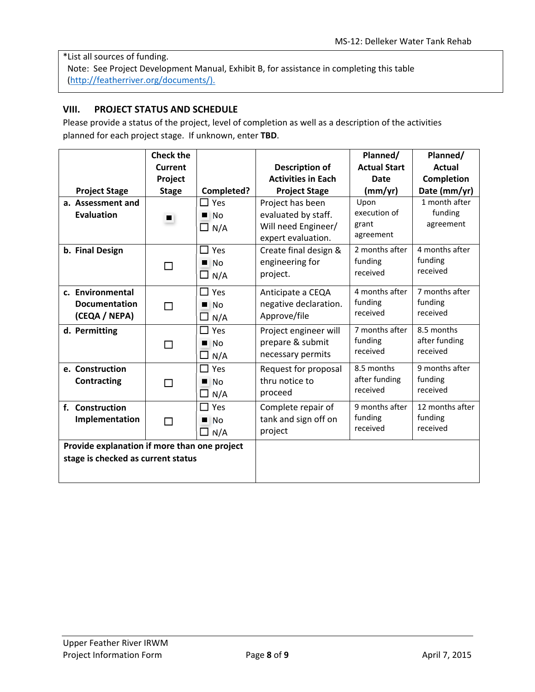\*List all sources of funding. Note: See Project Development Manual, Exhibit B, for assistance in completing this table

(http://featherriver.org/documents/).

### **VIII. PROJECT STATUS AND SCHEDULE**

Please provide a status of the project, level of completion as well as a description of the activities planned for each project stage. If unknown, enter **TBD**.

|                                              | <b>Check the</b> |                     |                           | Planned/            | Planned/        |
|----------------------------------------------|------------------|---------------------|---------------------------|---------------------|-----------------|
|                                              | <b>Current</b>   |                     | <b>Description of</b>     | <b>Actual Start</b> | <b>Actual</b>   |
|                                              | Project          |                     | <b>Activities in Each</b> | <b>Date</b>         | Completion      |
| <b>Project Stage</b>                         | <b>Stage</b>     | Completed?          | <b>Project Stage</b>      | (mm/yr)             | Date (mm/yr)    |
| a. Assessment and                            |                  | $\square$ Yes       | Project has been          | Upon                | 1 month after   |
| <b>Evaluation</b>                            | $\blacksquare$   | $\blacksquare$ No   | evaluated by staff.       | execution of        | funding         |
|                                              |                  | $\Box$ N/A          | Will need Engineer/       | grant               | agreement       |
|                                              |                  |                     | expert evaluation.        | agreement           |                 |
| b. Final Design                              |                  | $\Box$ Yes          | Create final design &     | 2 months after      | 4 months after  |
|                                              | □                | N <sub>0</sub>      | engineering for           | funding             | funding         |
|                                              |                  | $\Box$ N/A          | project.                  | received            | received        |
| c. Environmental                             |                  | $\Box$ Yes          | Anticipate a CEQA         | 4 months after      | 7 months after  |
| <b>Documentation</b>                         | П                | $\blacksquare$ No   | negative declaration.     | funding             | funding         |
| (CEQA / NEPA)                                |                  | $\Box$ N/A          | Approve/file              | received            | received        |
| d. Permitting                                |                  | $\square$ Yes       | Project engineer will     | 7 months after      | 8.5 months      |
|                                              | □                | N <sub>0</sub>      | prepare & submit          | funding             | after funding   |
|                                              |                  | $\Box$ N/A          | necessary permits         | received            | received        |
| e. Construction                              |                  | $\Box$ Yes          | Request for proposal      | 8.5 months          | 9 months after  |
| <b>Contracting</b>                           | □                | п<br>N <sub>0</sub> | thru notice to            | after funding       | funding         |
|                                              |                  | $\Box$ N/A          | proceed                   | received            | received        |
| f. Construction                              |                  | $\Box$<br>Yes       | Complete repair of        | 9 months after      | 12 months after |
| Implementation                               | ⊓                | $\blacksquare$ No   | tank and sign off on      | funding             | funding         |
|                                              |                  | $\square$ N/A       | project                   | received            | received        |
| Provide explanation if more than one project |                  |                     |                           |                     |                 |
| stage is checked as current status           |                  |                     |                           |                     |                 |
|                                              |                  |                     |                           |                     |                 |
|                                              |                  |                     |                           |                     |                 |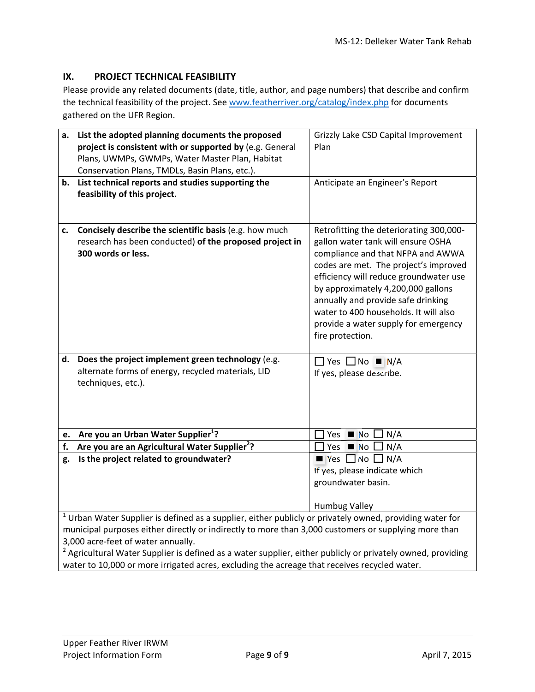# **IX. PROJECT TECHNICAL FEASIBILITY**

Please provide any related documents (date, title, author, and page numbers) that describe and confirm the technical feasibility of the project. See www.featherriver.org/catalog/index.php for documents gathered on the UFR Region.

| a. | List the adopted planning documents the proposed<br>project is consistent with or supported by (e.g. General                                                                                                                                                                                                                                                                       | Grizzly Lake CSD Capital Improvement<br>Plan                                                                                                                                                                                                                                                                                                                                           |  |  |
|----|------------------------------------------------------------------------------------------------------------------------------------------------------------------------------------------------------------------------------------------------------------------------------------------------------------------------------------------------------------------------------------|----------------------------------------------------------------------------------------------------------------------------------------------------------------------------------------------------------------------------------------------------------------------------------------------------------------------------------------------------------------------------------------|--|--|
|    | Plans, UWMPs, GWMPs, Water Master Plan, Habitat                                                                                                                                                                                                                                                                                                                                    |                                                                                                                                                                                                                                                                                                                                                                                        |  |  |
|    | Conservation Plans, TMDLs, Basin Plans, etc.).                                                                                                                                                                                                                                                                                                                                     |                                                                                                                                                                                                                                                                                                                                                                                        |  |  |
|    | b. List technical reports and studies supporting the<br>feasibility of this project.                                                                                                                                                                                                                                                                                               | Anticipate an Engineer's Report                                                                                                                                                                                                                                                                                                                                                        |  |  |
| c. | Concisely describe the scientific basis (e.g. how much<br>research has been conducted) of the proposed project in<br>300 words or less.                                                                                                                                                                                                                                            | Retrofitting the deteriorating 300,000-<br>gallon water tank will ensure OSHA<br>compliance and that NFPA and AWWA<br>codes are met. The project's improved<br>efficiency will reduce groundwater use<br>by approximately 4,200,000 gallons<br>annually and provide safe drinking<br>water to 400 households. It will also<br>provide a water supply for emergency<br>fire protection. |  |  |
| d. | Does the project implement green technology (e.g.<br>alternate forms of energy, recycled materials, LID<br>techniques, etc.).                                                                                                                                                                                                                                                      | $\Box$ Yes $\Box$ No $\blacksquare$ N/A<br>If yes, please describe.                                                                                                                                                                                                                                                                                                                    |  |  |
|    | e. Are you an Urban Water Supplier <sup>1</sup> ?                                                                                                                                                                                                                                                                                                                                  | Yes $\blacksquare$ No $\blacksquare$ N/A                                                                                                                                                                                                                                                                                                                                               |  |  |
| f. | Are you are an Agricultural Water Supplier <sup>2</sup> ?                                                                                                                                                                                                                                                                                                                          | Yes $\blacksquare$ No $\blacksquare$<br>N/A                                                                                                                                                                                                                                                                                                                                            |  |  |
| g. | Is the project related to groundwater?                                                                                                                                                                                                                                                                                                                                             | $\blacksquare$ Yes $\Box$ No $\Box$ N/A<br>If yes, please indicate which                                                                                                                                                                                                                                                                                                               |  |  |
|    |                                                                                                                                                                                                                                                                                                                                                                                    | groundwater basin.<br><b>Humbug Valley</b>                                                                                                                                                                                                                                                                                                                                             |  |  |
|    | $1$ Urban Water Supplier is defined as a supplier, either publicly or privately owned, providing water for<br>municipal purposes either directly or indirectly to more than 3,000 customers or supplying more than<br>3,000 acre-feet of water annually.<br><sup>2</sup> Agricultural Water Supplier is defined as a water supplier, either publicly or privately owned, providing |                                                                                                                                                                                                                                                                                                                                                                                        |  |  |

water to 10,000 or more irrigated acres, excluding the acreage that receives recycled water.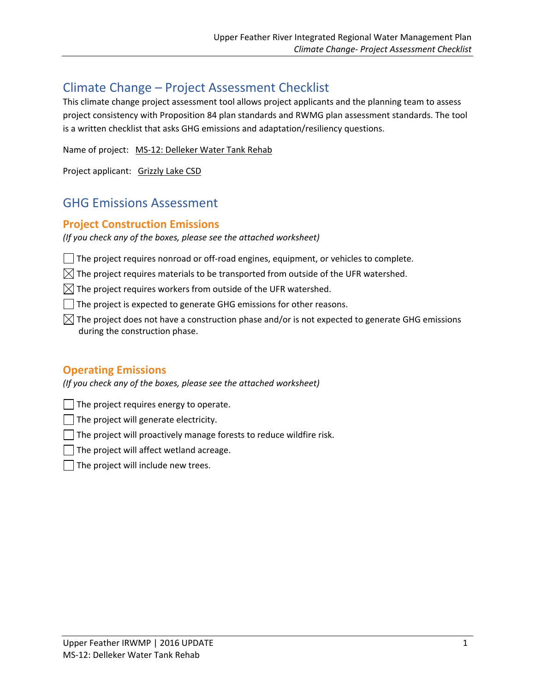# Climate Change – Project Assessment Checklist

This climate change project assessment tool allows project applicants and the planning team to assess project consistency with Proposition 84 plan standards and RWMG plan assessment standards. The tool is a written checklist that asks GHG emissions and adaptation/resiliency questions.

Name of project: MS‐12: Delleker Water Tank Rehab

Project applicant: Grizzly Lake CSD

# GHG Emissions Assessment

# **Project Construction Emissions**

*(If you check any of the boxes, please see the attached worksheet)*

- $\Box$  The project requires nonroad or off-road engines, equipment, or vehicles to complete.
- $\boxtimes$  The project requires materials to be transported from outside of the UFR watershed.
- $\boxtimes$  The project requires workers from outside of the UFR watershed.
- The project is expected to generate GHG emissions for other reasons.
- $\boxtimes$  The project does not have a construction phase and/or is not expected to generate GHG emissions during the construction phase.

# **Operating Emissions**

*(If you check any of the boxes, please see the attached worksheet)*

- The project requires energy to operate.
- The project will generate electricity.
- $\Box$  The project will proactively manage forests to reduce wildfire risk.
- The project will affect wetland acreage.
- The project will include new trees.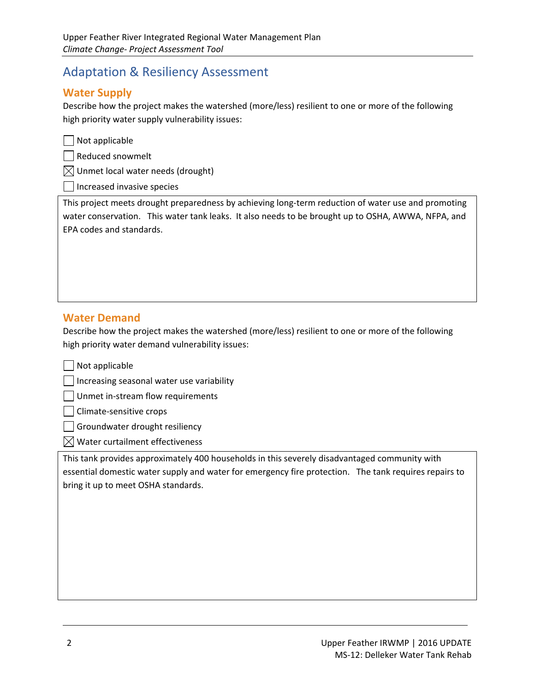# Adaptation & Resiliency Assessment

# **Water Supply**

Describe how the project makes the watershed (more/less) resilient to one or more of the following high priority water supply vulnerability issues:

 $\Box$  Not applicable

| Reduced snowmelt

 $\bowtie$  Unmet local water needs (drought)

Increased invasive species

This project meets drought preparedness by achieving long‐term reduction of water use and promoting water conservation. This water tank leaks. It also needs to be brought up to OSHA, AWWA, NFPA, and EPA codes and standards.

# **Water Demand**

Describe how the project makes the watershed (more/less) resilient to one or more of the following high priority water demand vulnerability issues:

Not applicable

Increasing seasonal water use variability

Unmet in‐stream flow requirements

Climate‐sensitive crops

Groundwater drought resiliency

 $\boxtimes$  Water curtailment effectiveness

This tank provides approximately 400 households in this severely disadvantaged community with essential domestic water supply and water for emergency fire protection. The tank requires repairs to bring it up to meet OSHA standards.

<u> 1989 - Andrea Barbara, amerikana amerikana amerikana amerikana amerikana amerikana amerikana amerikana amerik</u>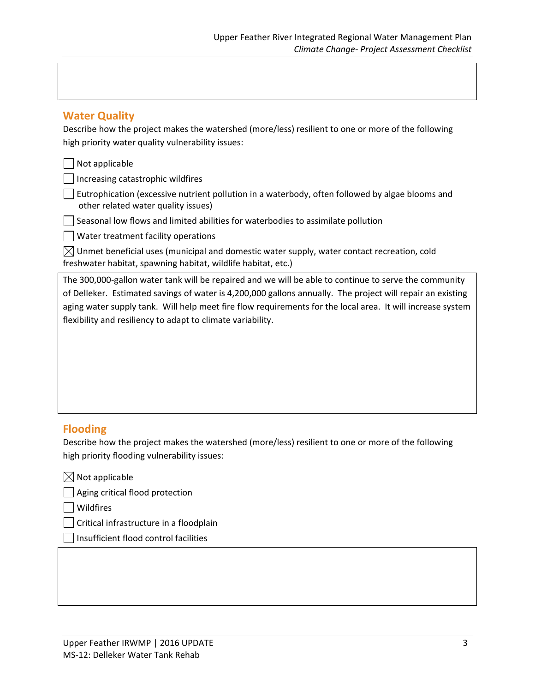## **Water Quality**

Describe how the project makes the watershed (more/less) resilient to one or more of the following high priority water quality vulnerability issues:

#### Not applicable

Increasing catastrophic wildfires

Eutrophication (excessive nutrient pollution in a waterbody, often followed by algae blooms and other related water quality issues)

Seasonal low flows and limited abilities for waterbodies to assimilate pollution

Water treatment facility operations

 $\boxtimes$  Unmet beneficial uses (municipal and domestic water supply, water contact recreation, cold freshwater habitat, spawning habitat, wildlife habitat, etc.)

The 300,000‐gallon water tank will be repaired and we will be able to continue to serve the community of Delleker. Estimated savings of water is 4,200,000 gallons annually. The project will repair an existing aging water supply tank. Will help meet fire flow requirements for the local area. It will increase system flexibility and resiliency to adapt to climate variability.

# **Flooding**

Describe how the project makes the watershed (more/less) resilient to one or more of the following high priority flooding vulnerability issues:

 $\boxtimes$  Not applicable

Aging critical flood protection

Wildfires

Critical infrastructure in a floodplain

Insufficient flood control facilities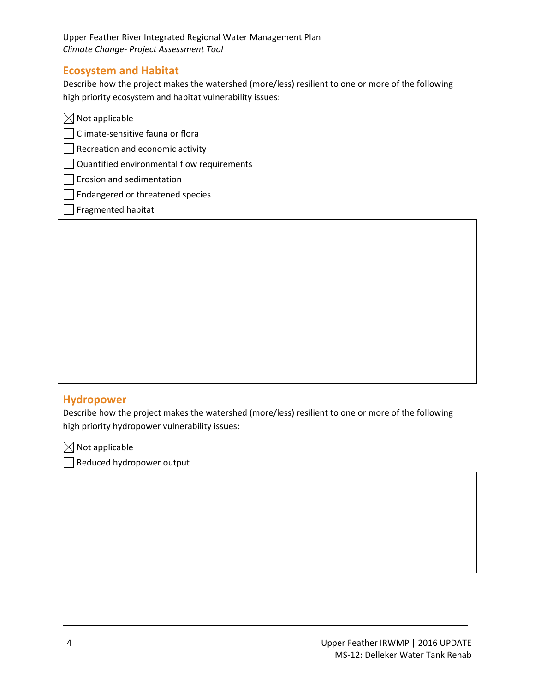# **Ecosystem and Habitat**

Describe how the project makes the watershed (more/less) resilient to one or more of the following high priority ecosystem and habitat vulnerability issues:

| $\boxtimes$ Not applicable                 |  |
|--------------------------------------------|--|
| Climate-sensitive fauna or flora           |  |
| $\vert$ Recreation and economic activity   |  |
| Quantified environmental flow requirements |  |
| Erosion and sedimentation                  |  |
| Endangered or threatened species           |  |
| Fragmented habitat                         |  |

# **Hydropower**

Describe how the project makes the watershed (more/less) resilient to one or more of the following high priority hydropower vulnerability issues:

<u> 1989 - Andrea Barbara, amerikana amerikana amerikana amerikana amerikana amerikana amerikana amerikana amerik</u>

 $\boxtimes$  Not applicable

Reduced hydropower output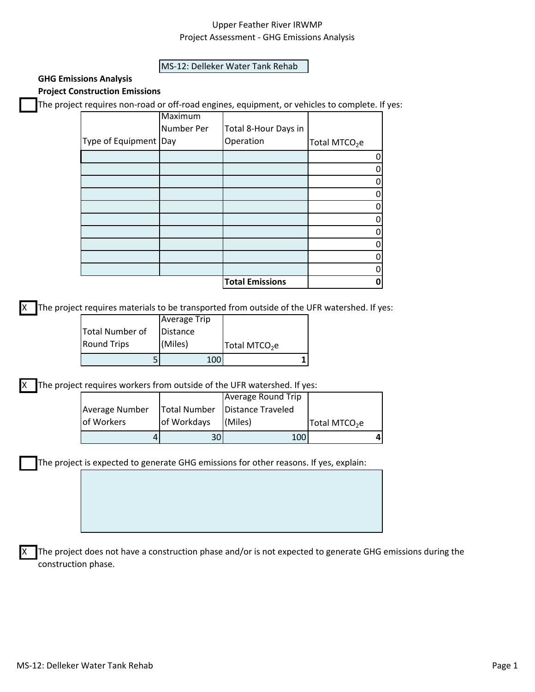## Upper Feather River IRWMP Project Assessment ‐ GHG Emissions Analysis

#### MS‐12: Delleker Water Tank Rehab

#### **GHG Emissions Analysis Project Construction Emissions**

The project requires non‐road or off‐road engines, equipment, or vehicles to complete. If yes:

|                         | <b>Maximum</b> |                        |                           |
|-------------------------|----------------|------------------------|---------------------------|
|                         | Number Per     | Total 8-Hour Days in   |                           |
| Type of Equipment   Day |                | Operation              | Total MTCO <sub>2</sub> e |
|                         |                |                        |                           |
|                         |                |                        |                           |
|                         |                |                        |                           |
|                         |                |                        |                           |
|                         |                |                        |                           |
|                         |                |                        |                           |
|                         |                |                        |                           |
|                         |                |                        |                           |
|                         |                |                        |                           |
|                         |                |                        |                           |
|                         |                | <b>Total Emissions</b> |                           |

The project requires materials to be transported from outside of the UFR watershed. If yes:

|                    | <b>Average Trip</b> |                           |
|--------------------|---------------------|---------------------------|
| Total Number of    | Distance            |                           |
| <b>Round Trips</b> | (Miles)             | Total MTCO <sub>2</sub> e |
|                    | 100                 |                           |

X The project requires workers from outside of the UFR watershed. If yes:

|                |             | Average Round Trip               |                           |  |
|----------------|-------------|----------------------------------|---------------------------|--|
| Average Number |             | Total Number   Distance Traveled |                           |  |
| of Workers     | of Workdays | (Miles)                          | Total MTCO <sub>2</sub> e |  |
|                | ا30         | 100                              |                           |  |

The project is expected to generate GHG emissions for other reasons. If yes, explain:

The project does not have a construction phase and/or is not expected to generate GHG emissions during the construction phase.